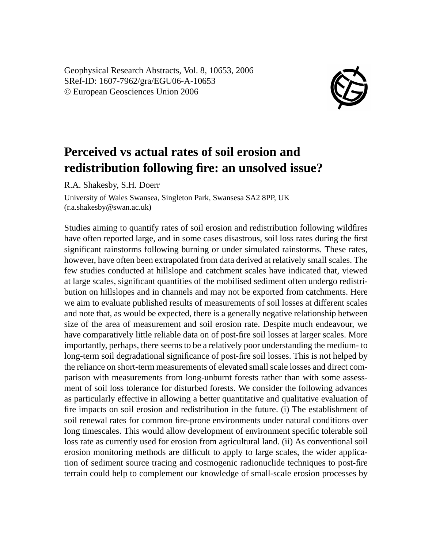Geophysical Research Abstracts, Vol. 8, 10653, 2006 SRef-ID: 1607-7962/gra/EGU06-A-10653 © European Geosciences Union 2006



## **Perceived vs actual rates of soil erosion and redistribution following fire: an unsolved issue?**

R.A. Shakesby, S.H. Doerr

University of Wales Swansea, Singleton Park, Swansesa SA2 8PP, UK (r.a.shakesby@swan.ac.uk)

Studies aiming to quantify rates of soil erosion and redistribution following wildfires have often reported large, and in some cases disastrous, soil loss rates during the first significant rainstorms following burning or under simulated rainstorms. These rates, however, have often been extrapolated from data derived at relatively small scales. The few studies conducted at hillslope and catchment scales have indicated that, viewed at large scales, significant quantities of the mobilised sediment often undergo redistribution on hillslopes and in channels and may not be exported from catchments. Here we aim to evaluate published results of measurements of soil losses at different scales and note that, as would be expected, there is a generally negative relationship between size of the area of measurement and soil erosion rate. Despite much endeavour, we have comparatively little reliable data on of post-fire soil losses at larger scales. More importantly, perhaps, there seems to be a relatively poor understanding the medium- to long-term soil degradational significance of post-fire soil losses. This is not helped by the reliance on short-term measurements of elevated small scale losses and direct comparison with measurements from long-unburnt forests rather than with some assessment of soil loss tolerance for disturbed forests. We consider the following advances as particularly effective in allowing a better quantitative and qualitative evaluation of fire impacts on soil erosion and redistribution in the future. (i) The establishment of soil renewal rates for common fire-prone environments under natural conditions over long timescales. This would allow development of environment specific tolerable soil loss rate as currently used for erosion from agricultural land. (ii) As conventional soil erosion monitoring methods are difficult to apply to large scales, the wider application of sediment source tracing and cosmogenic radionuclide techniques to post-fire terrain could help to complement our knowledge of small-scale erosion processes by